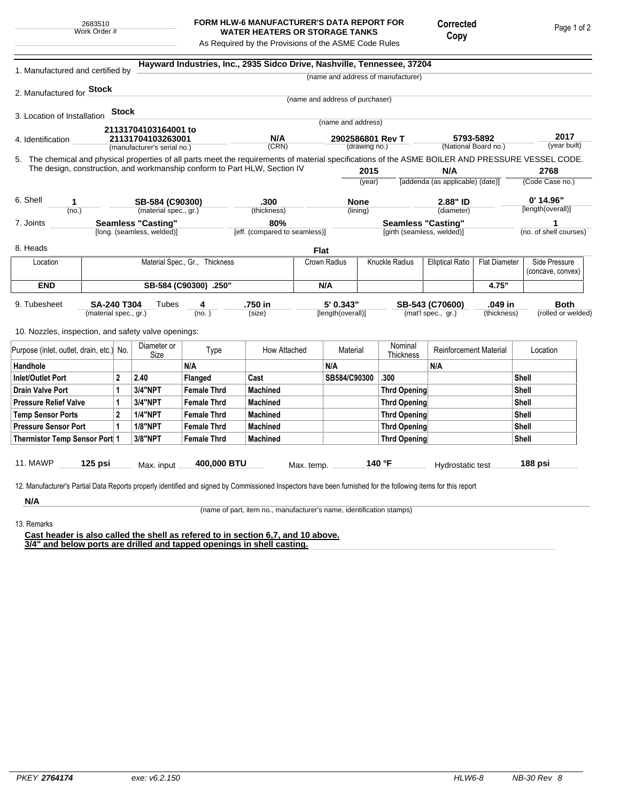## **FORM HLW-6 MANUFACTURER'S DATA REPORT FOR WATER HEATERS OR STORAGE TANKS**

Copy

Corrected

As Required by the Provisions of the ASME Code Rules

5. (year built) **Hayward Industries, Inc., 2935 Sidco Drive, Nashville, Tennessee, 37204** 1. Manufactured and certified by 2. Manufactured for **Stock** 3. Location of Installation 4. Identification (manufacturer's serial no.) (CRN) (drawing no.) (National Board no.) 11. MAWP **125 psi** Max. input **400,000 BTU** Max. temp. **140 °F** Hydrostatic test **188 psi** (material spec., gr.) 9. Tubesheet 10. Nozzles, inspection, and safety valve openings: **Stock** The chemical and physical properties of all parts meet the requirements of material specifications of the ASME BOILER AND PRESSURE VESSEL CODE. The design, construction, and workmanship conform to Part HLW, Section IV **2015** (year) (no.) (material spec., gr.) (thickness) 6. Shell 7. Joints 8. Heads [long. (seamless, welded)] [eff. (compared to seamless)] [girth (seamless, welded)] (no. of shell courses) **N/A** [addenda (as applicable) (date)] **2768** (Code Case no.) **2.88" ID**  $\qquad \qquad 0'$  **14.96"** (diameter) 12. Manufacturer's Partial Data Reports properly identified and signed by Commissioned Inspectors have been furnished for the following items for this report (name and address of manufacturer) (name and address of purchaser) (name and address) (lining)  $(no. )$ **Tubes** (size) [length(overall)] (mat'l spec., gr.) (thickness) (rolled or welded) **5793-5892 2017 21131704103164001 to 21131704103263001 N/A 2902586801 Rev T 1 SB-584 (C90300) .300 None 2.88" ID 0' 14.96" Seamless "Casting" 80% Seamless "Casting" 1 SA-240 T304 4 .750 in 5' 0.343" SB-543 (C70600) .049 in Both Flat** Location | Material Spec., Gr., Thickness | Crown Radius | Knuckle Radius | Elliptical Ratio | Flat Diameter | Side Pressure (concave, convex) **END SB-584 (C90300) .250" N/A 4.75"** Purpose (inlet, outlet, drain, etc.) No.  $\begin{array}{|c|c|} \hline \text{Diameter or } \\ \text{Size} \end{array}$ meter or **Type** How Attached Material Nominal<br>Size Thicknes Nominal Reinforcement Material Location Handhole N/A N/A N/A Inlet/Outlet Port 2 2.40 Flanged Cast SB584/C90300 .300 Shell Drain Valve Port |1 |3/4"NPT |Female Thrd |Machined |Thrd Opening |Shell Pressure Relief Valve  $\begin{array}{|c|c|c|c|c|}\n\hline\n1 & 3/4 \text{'}NPT & \text{Female Thrd} & \text{Machine} & \text{Thread} & \text{Thread} \\
\hline\n\end{array}$ Temp Sensor Ports 2 Female Thrd Machined Shell Pressure Sensor Port 1 | 1/8"NPT Female Thrd Machined Three Thrd Opening Thrd Opening Shell Thermistor Temp Sensor Port 1 | 3/8"NPT Female Thrd Machined Throw Thrd Opening Thrd Opening Shell

**N/A**

(name of part, item no., manufacturer's name, identification stamps)

13. Remarks

**Cast header is also called the shell as refered to in section 6,7, and 10 above. 3/4" and below ports are drilled and tapped openings in shell casting.**